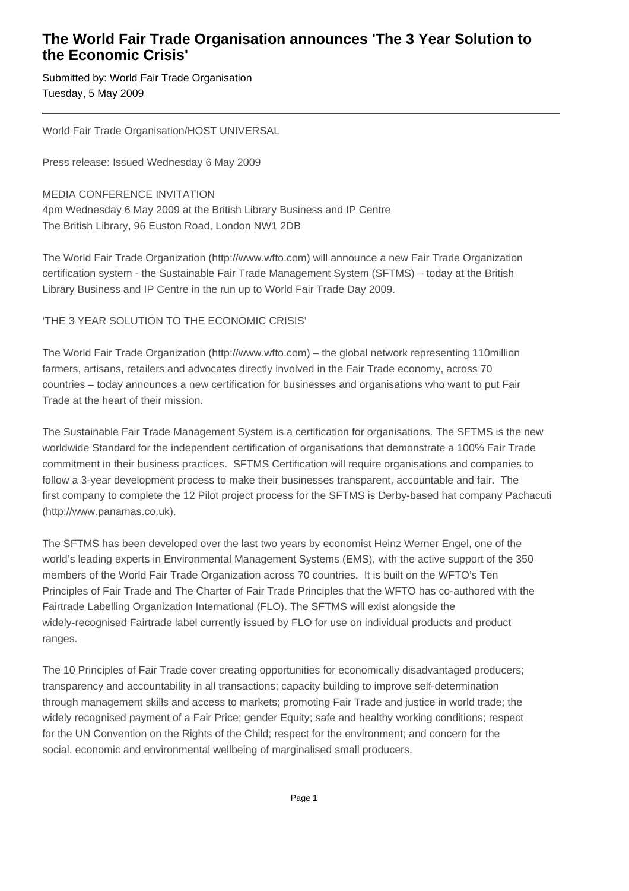## **The World Fair Trade Organisation announces 'The 3 Year Solution to the Economic Crisis'**

Submitted by: World Fair Trade Organisation Tuesday, 5 May 2009

World Fair Trade Organisation/HOST UNIVERSAL

Press release: Issued Wednesday 6 May 2009

MEDIA CONFERENCE INVITATION 4pm Wednesday 6 May 2009 at the British Library Business and IP Centre The British Library, 96 Euston Road, London NW1 2DB

The World Fair Trade Organization (http://www.wfto.com) will announce a new Fair Trade Organization certification system - the Sustainable Fair Trade Management System (SFTMS) – today at the British Library Business and IP Centre in the run up to World Fair Trade Day 2009.

## 'THE 3 YEAR SOLUTION TO THE ECONOMIC CRISIS'

The World Fair Trade Organization (http://www.wfto.com) – the global network representing 110million farmers, artisans, retailers and advocates directly involved in the Fair Trade economy, across 70 countries – today announces a new certification for businesses and organisations who want to put Fair Trade at the heart of their mission.

The Sustainable Fair Trade Management System is a certification for organisations. The SFTMS is the new worldwide Standard for the independent certification of organisations that demonstrate a 100% Fair Trade commitment in their business practices. SFTMS Certification will require organisations and companies to follow a 3-year development process to make their businesses transparent, accountable and fair. The first company to complete the 12 Pilot project process for the SFTMS is Derby-based hat company Pachacuti (http://www.panamas.co.uk).

The SFTMS has been developed over the last two years by economist Heinz Werner Engel, one of the world's leading experts in Environmental Management Systems (EMS), with the active support of the 350 members of the World Fair Trade Organization across 70 countries. It is built on the WFTO's Ten Principles of Fair Trade and The Charter of Fair Trade Principles that the WFTO has co-authored with the Fairtrade Labelling Organization International (FLO). The SFTMS will exist alongside the widely-recognised Fairtrade label currently issued by FLO for use on individual products and product ranges.

The 10 Principles of Fair Trade cover creating opportunities for economically disadvantaged producers; transparency and accountability in all transactions; capacity building to improve self-determination through management skills and access to markets; promoting Fair Trade and justice in world trade; the widely recognised payment of a Fair Price; gender Equity; safe and healthy working conditions; respect for the UN Convention on the Rights of the Child; respect for the environment; and concern for the social, economic and environmental wellbeing of marginalised small producers.